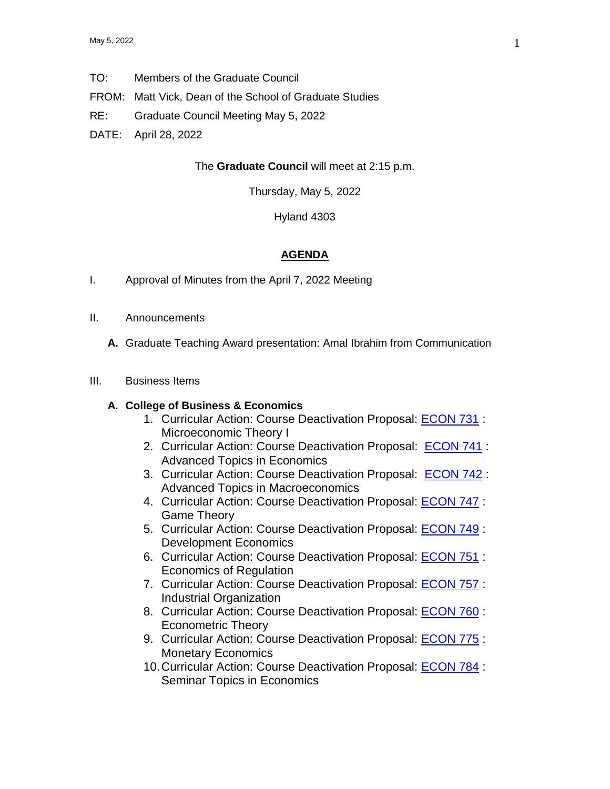- TO: Members of the Graduate Council
- FROM: Matt Vick, Dean of the School of Graduate Studies
- RE: Graduate Council Meeting May 5, 2022
- DATE: April 28, 2022

### The **Graduate Council** will meet at 2:15 p.m.

Thursday, May 5, 2022

Hyland 4303

#### **AGENDA**

- I. Approval of Minutes from the April 7, 2022 Meeting
- II. Announcements
	- **A.** Graduate Teaching Award presentation: Amal Ibrahim from Communication
- III. Business Items

### **A. College of Business & Economics**

- 1. Curricular Action: Course Deactivation Proposal: [ECON 731](https://uww-next.courseleaf.com/courseleaf/courseleaf.cgi?page=/courseadmin/4571/index.html&step=showfullrecord) : Microeconomic Theory I
- 2. Curricular Action: Course Deactivation Proposal: [ECON 741](https://uww-next.courseleaf.com/courseleaf/courseleaf.cgi?page=/courseadmin/4572/index.html&step=showfullrecord) : Advanced Topics in Economics
- 3. Curricular Action: Course Deactivation Proposal: [ECON 742](https://uww-next.courseleaf.com/courseleaf/courseleaf.cgi?page=/courseadmin/4573/index.html&step=showfullrecord) : Advanced Topics in Macroeconomics
- 4. Curricular Action: Course Deactivation Proposal: [ECON 747](https://uww-next.courseleaf.com/courseleaf/courseleaf.cgi?page=/courseadmin/4577/index.html&step=showfullrecord) : Game Theory
- 5. Curricular Action: Course Deactivation Proposal: **[ECON 749](https://uww-next.courseleaf.com/courseleaf/courseleaf.cgi?page=/courseadmin/4579/index.html&step=showfullrecord)** : Development Economics
- 6. Curricular Action: Course Deactivation Proposal: [ECON 751](https://uww-next.courseleaf.com/courseleaf/courseleaf.cgi?page=/courseadmin/3715/index.html&step=showfullrecord) : Economics of Regulation
- 7. Curricular Action: Course Deactivation Proposal: [ECON 757](https://uww-next.courseleaf.com/courseleaf/courseleaf.cgi?page=/courseadmin/4580/index.html&step=showfullrecord) : Industrial Organization
- 8. Curricular Action: Course Deactivation Proposal: [ECON 760](https://uww-next.courseleaf.com/courseleaf/courseleaf.cgi?page=/courseadmin/4582/index.html&step=showfullrecord) : Econometric Theory
- 9. Curricular Action: Course Deactivation Proposal: **ECON 775** : Monetary Economics
- 10.Curricular Action: Course Deactivation Proposal: [ECON 784](https://uww-next.courseleaf.com/courseleaf/courseleaf.cgi?page=/courseadmin/4723/index.html&step=showfullrecord) : Seminar Topics in Economics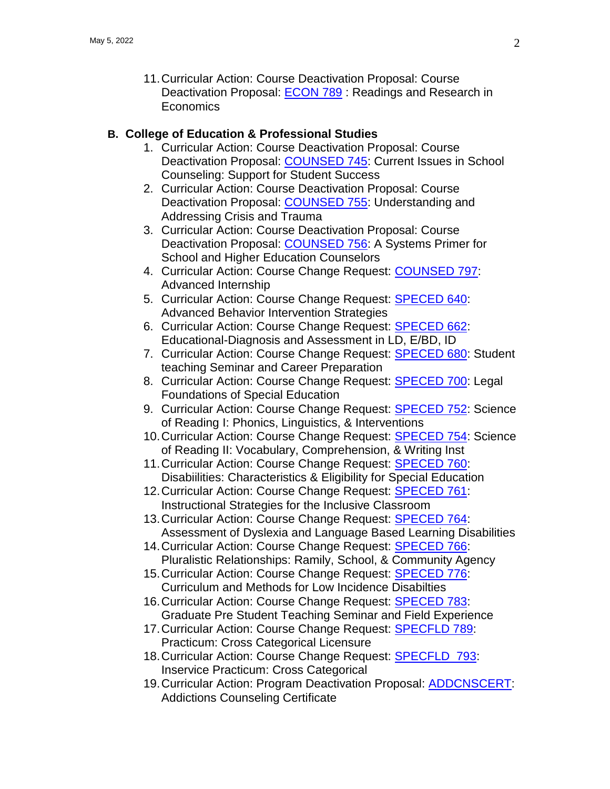11.Curricular Action: Course Deactivation Proposal: Course Deactivation Proposal: [ECON 789](https://uww-next.courseleaf.com/courseleaf/courseleaf.cgi?page=/courseadmin/804/index.html&step=showfullrecord) : Readings and Research in **Economics** 

# **B. College of Education & Professional Studies**

- 1. Curricular Action: Course Deactivation Proposal: Course Deactivation Proposal: [COUNSED 745:](https://uww-next.courseleaf.com/courseleaf/courseleaf.cgi?page=/courseadmin/1179/index.html&step=showfullrecord) Current Issues in School Counseling: Support for Student Success
- 2. Curricular Action: Course Deactivation Proposal: Course Deactivation Proposal: [COUNSED 755:](https://uww-next.courseleaf.com/courseleaf/courseleaf.cgi?page=/courseadmin/4629/index.html&step=showfullrecord) Understanding and Addressing Crisis and Trauma
- 3. Curricular Action: Course Deactivation Proposal: Course Deactivation Proposal: [COUNSED 756:](https://uww-next.courseleaf.com/courseleaf/courseleaf.cgi?page=/courseadmin/4628/index.html&step=showfullrecord) A Systems Primer for School and Higher Education Counselors
- 4. Curricular Action: Course Change Request: [COUNSED 797:](https://uww-next.courseleaf.com/courseleaf/courseleaf.cgi?page=/courseadmin/1225/index.html&step=showfullrecord) Advanced Internship
- 5. Curricular Action: Course Change Request: **[SPECED](https://uww-next.courseleaf.com/courseleaf/courseleaf.cgi?page=/courseadmin/3888/index.html&step=showfullrecord) 640:** Advanced Behavior Intervention Strategies
- 6. Curricular Action: Course Change Request: [SPECED 662:](https://uww-next.courseleaf.com/courseleaf/courseleaf.cgi?page=/courseadmin/1895/index.html&step=showfullrecord) Educational-Diagnosis and Assessment in LD, E/BD, ID
- 7. Curricular Action: Course Change Request: [SPECED](https://uww-next.courseleaf.com/courseleaf/courseleaf.cgi?page=/courseadmin/1918/index.html&step=showfullrecord) 680: Student teaching Seminar and Career Preparation
- 8. Curricular Action: Course Change Request: [SPECED](https://uww-next.courseleaf.com/courseleaf/courseleaf.cgi?page=/courseadmin/3609/index.html&step=showfullrecord) 700: Legal Foundations of Special Education
- 9. Curricular Action: Course Change Request: [SPECED](https://uww-next.courseleaf.com/courseleaf/courseleaf.cgi?page=/courseadmin/1917/index.html&step=showfullrecord) 752: Science of Reading I: Phonics, Linguistics, & Interventions
- 10.Curricular Action: Course Change Request: [SPECED 754:](https://uww-next.courseleaf.com/courseleaf/courseleaf.cgi?page=/courseadmin/3895/index.html&step=showfullrecord) Science of Reading II: Vocabulary, Comprehension, & Writing Inst
- 11.Curricular Action: Course Change Request: [SPECED](https://uww-next.courseleaf.com/courseleaf/courseleaf.cgi?page=/courseadmin/4116/index.html&step=showfullrecord) 760: Disabiilities: Characteristics & Eligibility for Special Education
- 12. Curricular Action: Course Change Request: **[SPECED](https://uww-next.courseleaf.com/courseleaf/courseleaf.cgi?page=/courseadmin/4117/index.html&step=showfullrecord) 761:** Instructional Strategies for the Inclusive Classroom
- 13. Curricular Action: Course Change Request: **[SPECED](https://uww-next.courseleaf.com/courseleaf/courseleaf.cgi?page=/courseadmin/6552/index.html&step=showfullrecord) 764:** Assessment of Dyslexia and Language Based Learning Disabilities
- 14.Curricular Action: Course Change Request: [SPECED](https://uww-next.courseleaf.com/courseleaf/courseleaf.cgi?page=/courseadmin/4128/index.html&step=showfullrecord) 766: Pluralistic Relationships: Ramily, School, & Community Agency
- 15.Curricular Action: Course Change Request: [SPECED](https://uww-next.courseleaf.com/courseleaf/courseleaf.cgi?page=/courseadmin/4751/index.html&step=showfullrecord) 776: Curriculum and Methods for Low Incidence Disabilties
- 16. Curricular Action: Course Change Request: **[SPECED](https://uww-next.courseleaf.com/courseleaf/courseleaf.cgi?page=/courseadmin/3892/index.html&step=showfullrecord) 783:** Graduate Pre Student Teaching Seminar and Field Experience
- 17. Curricular Action: Course Change Request: **[SPECFLD 789:](https://uww-next.courseleaf.com/courseleaf/courseleaf.cgi?page=/courseadmin/1975/index.html&step=showfullrecord)** Practicum: Cross Categorical Licensure
- 18. Curricular Action: Course Change Request: **[SPECFLD](https://uww-next.courseleaf.com/courseleaf/courseleaf.cgi?page=/courseadmin/1993/index.html&step=showfullrecord)** 793: Inservice Practicum: Cross Categorical
- 19. Curricular Action: Program Deactivation Proposal: **ADDCNSCERT**: Addictions Counseling Certificate